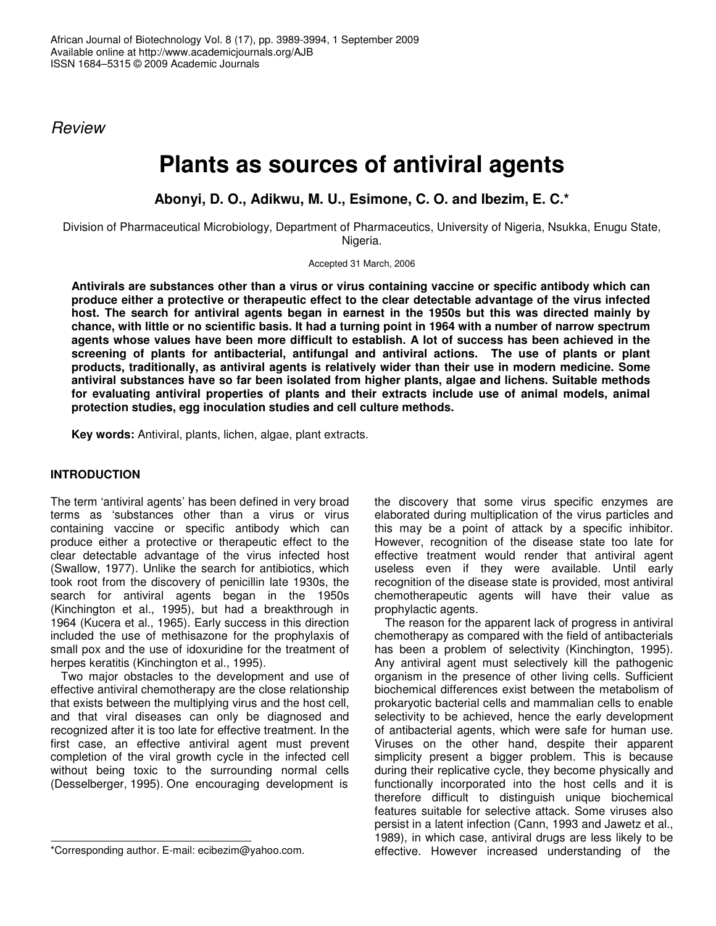*Review*

# **Plants as sources of antiviral agents**

**Abonyi, D. O., Adikwu, M. U., Esimone, C. O. and Ibezim, E. C.\***

Division of Pharmaceutical Microbiology, Department of Pharmaceutics, University of Nigeria, Nsukka, Enugu State, Nigeria.

Accepted 31 March, 2006

**Antivirals are substances other than a virus or virus containing vaccine or specific antibody which can produce either a protective or therapeutic effect to the clear detectable advantage of the virus infected** host. The search for antiviral agents began in earnest in the 1950s but this was directed mainly by chance, with little or no scientific basis. It had a turning point in 1964 with a number of narrow spectrum agents whose values have been more difficult to establish. A lot of success has been achieved in the **screening of plants for antibacterial, antifungal and antiviral actions. The use of plants or plant products, traditionally, as antiviral agents is relatively wider than their use in modern medicine. Some antiviral substances have so far been isolated from higher plants, algae and lichens. Suitable methods for evaluating antiviral properties of plants and their extracts include use of animal models, animal protection studies, egg inoculation studies and cell culture methods.**

**Key words:** Antiviral, plants, lichen, algae, plant extracts.

## **INTRODUCTION**

The term 'antiviral agents' has been defined in very broad terms as 'substances other than a virus or virus containing vaccine or specific antibody which can produce either a protective or therapeutic effect to the clear detectable advantage of the virus infected host (Swallow, 1977). Unlike the search for antibiotics, which took root from the discovery of penicillin late 1930s, the search for antiviral agents began in the 1950s (Kinchington et al., 1995), but had a breakthrough in 1964 (Kucera et al., 1965). Early success in this direction included the use of methisazone for the prophylaxis of small pox and the use of idoxuridine for the treatment of herpes keratitis (Kinchington et al., 1995).

Two major obstacles to the development and use of effective antiviral chemotherapy are the close relationship that exists between the multiplying virus and the host cell, and that viral diseases can only be diagnosed and recognized after it is too late for effective treatment. In the first case, an effective antiviral agent must prevent completion of the viral growth cycle in the infected cell without being toxic to the surrounding normal cells (Desselberger, 1995). One encouraging development is

the discovery that some virus specific enzymes are elaborated during multiplication of the virus particles and this may be a point of attack by a specific inhibitor. However, recognition of the disease state too late for effective treatment would render that antiviral agent useless even if they were available. Until early recognition of the disease state is provided, most antiviral chemotherapeutic agents will have their value as prophylactic agents.

The reason for the apparent lack of progress in antiviral chemotherapy as compared with the field of antibacterials has been a problem of selectivity (Kinchington, 1995). Any antiviral agent must selectively kill the pathogenic organism in the presence of other living cells. Sufficient biochemical differences exist between the metabolism of prokaryotic bacterial cells and mammalian cells to enable selectivity to be achieved, hence the early development of antibacterial agents, which were safe for human use. Viruses on the other hand, despite their apparent simplicity present a bigger problem. This is because during their replicative cycle, they become physically and functionally incorporated into the host cells and it is therefore difficult to distinguish unique biochemical features suitable for selective attack. Some viruses also persist in a latent infection (Cann, 1993 and Jawetz et al., 1989), in which case, antiviral drugs are less likely to be effective. However increased understanding of the

<sup>\*</sup>Corresponding author. E-mail: ecibezim@yahoo.com.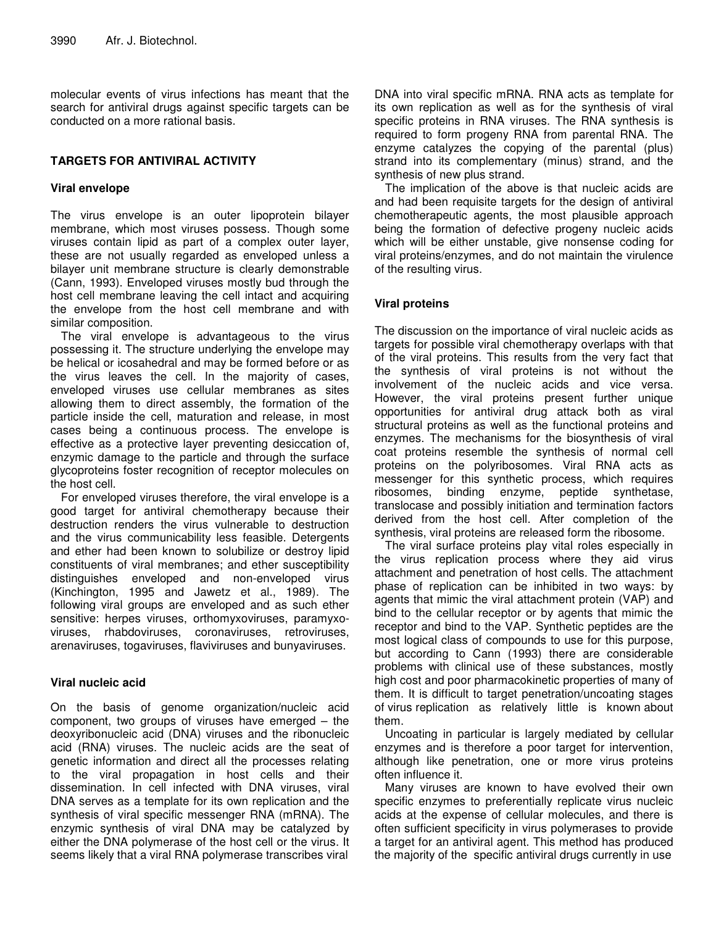molecular events of virus infections has meant that the search for antiviral drugs against specific targets can be conducted on a more rational basis.

# **TARGETS FOR ANTIVIRAL ACTIVITY**

## **Viral envelope**

The virus envelope is an outer lipoprotein bilayer membrane, which most viruses possess. Though some viruses contain lipid as part of a complex outer layer, these are not usually regarded as enveloped unless a bilayer unit membrane structure is clearly demonstrable (Cann, 1993). Enveloped viruses mostly bud through the host cell membrane leaving the cell intact and acquiring the envelope from the host cell membrane and with similar composition.

The viral envelope is advantageous to the virus possessing it. The structure underlying the envelope may be helical or icosahedral and may be formed before or as the virus leaves the cell. In the majority of cases, enveloped viruses use cellular membranes as sites allowing them to direct assembly, the formation of the particle inside the cell, maturation and release, in most cases being a continuous process. The envelope is effective as a protective layer preventing desiccation of, enzymic damage to the particle and through the surface glycoproteins foster recognition of receptor molecules on the host cell.

For enveloped viruses therefore, the viral envelope is a good target for antiviral chemotherapy because their destruction renders the virus vulnerable to destruction and the virus communicability less feasible. Detergents and ether had been known to solubilize or destroy lipid constituents of viral membranes; and ether susceptibility distinguishes enveloped and non-enveloped virus (Kinchington, 1995 and Jawetz et al., 1989). The following viral groups are enveloped and as such ether sensitive: herpes viruses, orthomyxoviruses, paramyxoviruses, rhabdoviruses, coronaviruses, retroviruses, arenaviruses, togaviruses, flaviviruses and bunyaviruses.

# **Viral nucleic acid**

On the basis of genome organization/nucleic acid component, two groups of viruses have emerged – the deoxyribonucleic acid (DNA) viruses and the ribonucleic acid (RNA) viruses. The nucleic acids are the seat of genetic information and direct all the processes relating to the viral propagation in host cells and their dissemination. In cell infected with DNA viruses, viral DNA serves as a template for its own replication and the synthesis of viral specific messenger RNA (mRNA). The enzymic synthesis of viral DNA may be catalyzed by either the DNA polymerase of the host cell or the virus. It seems likely that a viral RNA polymerase transcribes viral DNA into viral specific mRNA. RNA acts as template for its own replication as well as for the synthesis of viral specific proteins in RNA viruses. The RNA synthesis is required to form progeny RNA from parental RNA. The enzyme catalyzes the copying of the parental (plus) strand into its complementary (minus) strand, and the synthesis of new plus strand.

The implication of the above is that nucleic acids are and had been requisite targets for the design of antiviral chemotherapeutic agents, the most plausible approach being the formation of defective progeny nucleic acids which will be either unstable, give nonsense coding for viral proteins/enzymes, and do not maintain the virulence of the resulting virus.

# **Viral proteins**

The discussion on the importance of viral nucleic acids as targets for possible viral chemotherapy overlaps with that of the viral proteins. This results from the very fact that the synthesis of viral proteins is not without the involvement of the nucleic acids and vice versa. However, the viral proteins present further unique opportunities for antiviral drug attack both as viral structural proteins as well as the functional proteins and enzymes. The mechanisms for the biosynthesis of viral coat proteins resemble the synthesis of normal cell proteins on the polyribosomes. Viral RNA acts as messenger for this synthetic process, which requires ribosomes, binding enzyme, peptide synthetase, translocase and possibly initiation and termination factors derived from the host cell. After completion of the synthesis, viral proteins are released form the ribosome.

The viral surface proteins play vital roles especially in the virus replication process where they aid virus attachment and penetration of host cells. The attachment phase of replication can be inhibited in two ways: by agents that mimic the viral attachment protein (VAP) and bind to the cellular receptor or by agents that mimic the receptor and bind to the VAP. Synthetic peptides are the most logical class of compounds to use for this purpose, but according to Cann (1993) there are considerable problems with clinical use of these substances, mostly high cost and poor pharmacokinetic properties of many of them. It is difficult to target penetration/uncoating stages of virus replication as relatively little is known about them.

Uncoating in particular is largely mediated by cellular enzymes and is therefore a poor target for intervention, although like penetration, one or more virus proteins often influence it.

Many viruses are known to have evolved their own specific enzymes to preferentially replicate virus nucleic acids at the expense of cellular molecules, and there is often sufficient specificity in virus polymerases to provide a target for an antiviral agent. This method has produced the majority of the specific antiviral drugs currently in use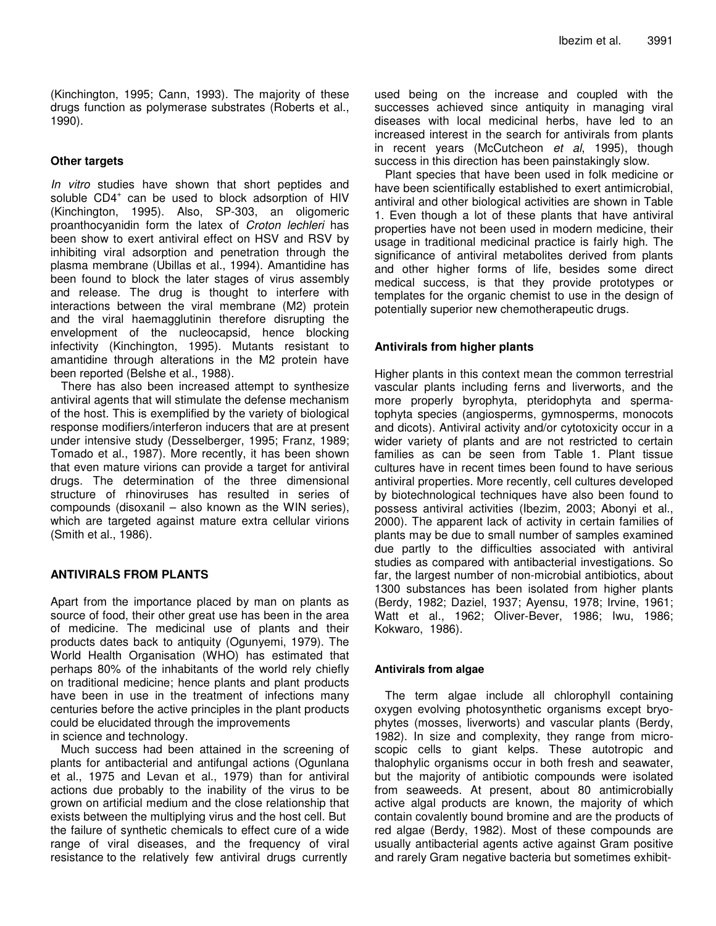(Kinchington, 1995; Cann, 1993). The majority of these drugs function as polymerase substrates (Roberts et al., 1990).

## **Other targets**

*In vitro* studies have shown that short peptides and soluble CD4<sup>+</sup> can be used to block adsorption of HIV (Kinchington, 1995). Also, SP-303, an oligomeric proanthocyanidin form the latex of *Croton lechleri* has been show to exert antiviral effect on HSV and RSV by inhibiting viral adsorption and penetration through the plasma membrane (Ubillas et al., 1994). Amantidine has been found to block the later stages of virus assembly and release. The drug is thought to interfere with interactions between the viral membrane (M2) protein and the viral haemagglutinin therefore disrupting the envelopment of the nucleocapsid, hence blocking infectivity (Kinchington, 1995). Mutants resistant to amantidine through alterations in the M2 protein have been reported (Belshe et al., 1988).

There has also been increased attempt to synthesize antiviral agents that will stimulate the defense mechanism of the host. This is exemplified by the variety of biological response modifiers/interferon inducers that are at present under intensive study (Desselberger, 1995; Franz, 1989; Tomado et al., 1987). More recently, it has been shown that even mature virions can provide a target for antiviral drugs. The determination of the three dimensional structure of rhinoviruses has resulted in series of compounds (disoxanil – also known as the WIN series), which are targeted against mature extra cellular virions (Smith et al., 1986).

# **ANTIVIRALS FROM PLANTS**

Apart from the importance placed by man on plants as source of food, their other great use has been in the area of medicine. The medicinal use of plants and their products dates back to antiquity (Ogunyemi, 1979). The World Health Organisation (WHO) has estimated that perhaps 80% of the inhabitants of the world rely chiefly on traditional medicine; hence plants and plant products have been in use in the treatment of infections many centuries before the active principles in the plant products could be elucidated through the improvements in science and technology.

Much success had been attained in the screening of plants for antibacterial and antifungal actions (Ogunlana et al., 1975 and Levan et al., 1979) than for antiviral actions due probably to the inability of the virus to be grown on artificial medium and the close relationship that exists between the multiplying virus and the host cell. But the failure of synthetic chemicals to effect cure of a wide range of viral diseases, and the frequency of viral resistance to the relatively few antiviral drugs currently used being on the increase and coupled with the successes achieved since antiquity in managing viral diseases with local medicinal herbs, have led to an increased interest in the search for antivirals from plants in recent years (McCutcheon *et al*, 1995), though success in this direction has been painstakingly slow.

Plant species that have been used in folk medicine or have been scientifically established to exert antimicrobial, antiviral and other biological activities are shown in Table 1. Even though a lot of these plants that have antiviral properties have not been used in modern medicine, their usage in traditional medicinal practice is fairly high. The significance of antiviral metabolites derived from plants and other higher forms of life, besides some direct medical success, is that they provide prototypes or templates for the organic chemist to use in the design of potentially superior new chemotherapeutic drugs.

## **Antivirals from higher plants**

Higher plants in this context mean the common terrestrial vascular plants including ferns and liverworts, and the more properly byrophyta, pteridophyta and spermatophyta species (angiosperms, gymnosperms, monocots and dicots). Antiviral activity and/or cytotoxicity occur in a wider variety of plants and are not restricted to certain families as can be seen from Table 1. Plant tissue cultures have in recent times been found to have serious antiviral properties. More recently, cell cultures developed by biotechnological techniques have also been found to possess antiviral activities (Ibezim, 2003; Abonyi et al., 2000). The apparent lack of activity in certain families of plants may be due to small number of samples examined due partly to the difficulties associated with antiviral studies as compared with antibacterial investigations. So far, the largest number of non-microbial antibiotics, about 1300 substances has been isolated from higher plants (Berdy, 1982; Daziel, 1937; Ayensu, 1978; Irvine, 1961; Watt et al., 1962; Oliver-Bever, 1986; Iwu, 1986; Kokwaro, 1986).

## **Antivirals from algae**

The term algae include all chlorophyll containing oxygen evolving photosynthetic organisms except bryophytes (mosses, liverworts) and vascular plants (Berdy, 1982). In size and complexity, they range from microscopic cells to giant kelps. These autotropic and thalophylic organisms occur in both fresh and seawater, but the majority of antibiotic compounds were isolated from seaweeds. At present, about 80 antimicrobially active algal products are known, the majority of which contain covalently bound bromine and are the products of red algae (Berdy, 1982). Most of these compounds are usually antibacterial agents active against Gram positive and rarely Gram negative bacteria but sometimes exhibit-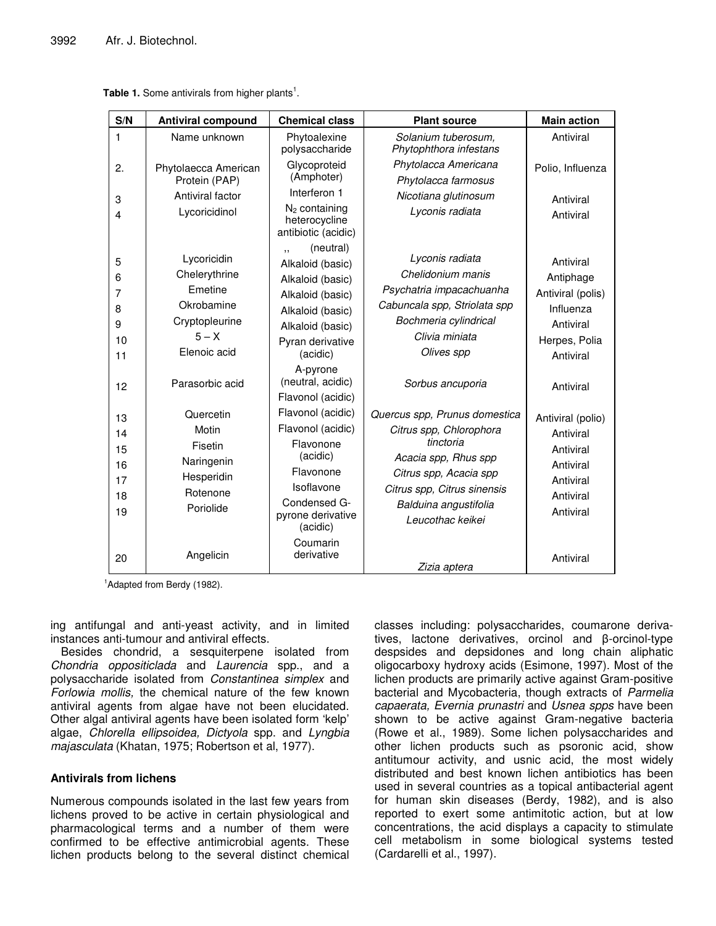| Table 1. Some antivirals from higher plants <sup>1</sup> . |  |
|------------------------------------------------------------|--|
|------------------------------------------------------------|--|

| S/N                                    | <b>Antiviral compound</b>                                                                          | <b>Chemical class</b>                                                                                                                                                 | <b>Plant source</b>                                                                                                                                                                                 | <b>Main action</b>                                                                                  |
|----------------------------------------|----------------------------------------------------------------------------------------------------|-----------------------------------------------------------------------------------------------------------------------------------------------------------------------|-----------------------------------------------------------------------------------------------------------------------------------------------------------------------------------------------------|-----------------------------------------------------------------------------------------------------|
| 1                                      | Name unknown                                                                                       | Phytoalexine<br>polysaccharide                                                                                                                                        | Solanium tuberosum.<br>Phytophthora infestans                                                                                                                                                       | Antiviral                                                                                           |
| 2.<br>3<br>4                           | Phytolaecca American<br>Protein (PAP)<br>Antiviral factor<br>Lycoricidinol                         | Glycoproteid<br>(Amphoter)<br>Interferon 1<br>$N2$ containing<br>heterocycline<br>antibiotic (acidic)                                                                 | Phytolacca Americana<br>Phytolacca farmosus<br>Nicotiana glutinosum<br>Lyconis radiata                                                                                                              | Polio, Influenza<br>Antiviral<br>Antiviral                                                          |
| 5<br>6<br>7<br>8<br>9<br>10<br>11      | Lycoricidin<br>Chelerythrine<br>Emetine<br>Okrobamine<br>Cryptopleurine<br>$5 - X$<br>Elenoic acid | (neutral)<br>$\ddot{\phantom{a}}$<br>Alkaloid (basic)<br>Alkaloid (basic)<br>Alkaloid (basic)<br>Alkaloid (basic)<br>Alkaloid (basic)<br>Pyran derivative<br>(acidic) | Lyconis radiata<br>Chelidonium manis<br>Psychatria impacachuanha<br>Cabuncala spp, Striolata spp<br>Bochmeria cylindrical<br>Clivia miniata<br>Olives spp                                           | Antiviral<br>Antiphage<br>Antiviral (polis)<br>Influenza<br>Antiviral<br>Herpes, Polia<br>Antiviral |
| 12                                     | Parasorbic acid                                                                                    | A-pyrone<br>(neutral, acidic)<br>Flavonol (acidic)                                                                                                                    | Sorbus ancuporia                                                                                                                                                                                    | Antiviral                                                                                           |
| 13<br>14<br>15<br>16<br>17<br>18<br>19 | Quercetin<br>Motin<br>Fisetin<br>Naringenin<br>Hesperidin<br>Rotenone<br>Poriolide                 | Flavonol (acidic)<br>Flavonol (acidic)<br>Flavonone<br>(acidic)<br>Flavonone<br>Isoflavone<br>Condensed G-<br>pyrone derivative<br>(acidic)<br>Coumarin               | Quercus spp, Prunus domestica<br>Citrus spp, Chlorophora<br>tinctoria<br>Acacia spp, Rhus spp<br>Citrus spp, Acacia spp<br>Citrus spp, Citrus sinensis<br>Balduina angustifolia<br>Leucothac keikei | Antiviral (polio)<br>Antiviral<br>Antiviral<br>Antiviral<br>Antiviral<br>Antiviral<br>Antiviral     |
| 20                                     | Angelicin                                                                                          | derivative                                                                                                                                                            | Zizia aptera                                                                                                                                                                                        | Antiviral                                                                                           |

<sup>1</sup> Adapted from Berdy (1982).

ing antifungal and anti-yeast activity, and in limited instances anti-tumour and antiviral effects.

Besides chondrid, a sesquiterpene isolated from *Chondria oppositiclada* and *Laurencia* spp., and a polysaccharide isolated from *Constantinea simplex* and *Forlowia mollis,* the chemical nature of the few known antiviral agents from algae have not been elucidated. Other algal antiviral agents have been isolated form 'kelp' algae, *Chlorella ellipsoidea, Dictyola* spp. and *Lyngbia majasculata* (Khatan, 1975; Robertson et al, 1977).

## **Antivirals from lichens**

Numerous compounds isolated in the last few years from lichens proved to be active in certain physiological and pharmacological terms and a number of them were confirmed to be effective antimicrobial agents. These lichen products belong to the several distinct chemical

classes including: polysaccharides, coumarone derivatives, lactone derivatives, orcinol and  $\beta$ -orcinol-type despsides and depsidones and long chain aliphatic oligocarboxy hydroxy acids (Esimone, 1997). Most of the lichen products are primarily active against Gram-positive bacterial and Mycobacteria, though extracts of *Parmelia capaerata, Evernia prunastri* and *Usnea spps* have been shown to be active against Gram-negative bacteria (Rowe et al., 1989). Some lichen polysaccharides and other lichen products such as psoronic acid, show antitumour activity, and usnic acid, the most widely distributed and best known lichen antibiotics has been used in several countries as a topical antibacterial agent for human skin diseases (Berdy, 1982), and is also reported to exert some antimitotic action, but at low concentrations, the acid displays a capacity to stimulate cell metabolism in some biological systems tested (Cardarelli et al., 1997).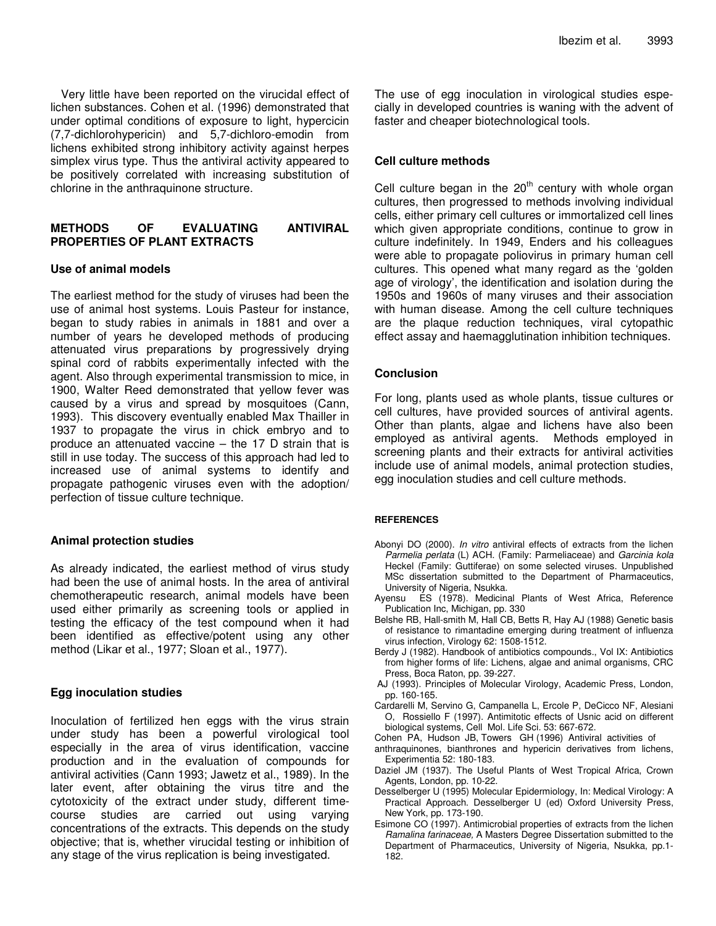Very little have been reported on the virucidal effect of lichen substances. Cohen et al. (1996) demonstrated that under optimal conditions of exposure to light, hypercicin (7,7-dichlorohypericin) and 5,7-dichloro-emodin from lichens exhibited strong inhibitory activity against herpes simplex virus type. Thus the antiviral activity appeared to be positively correlated with increasing substitution of chlorine in the anthraquinone structure.

### **METHODS OF EVALUATING ANTIVIRAL PROPERTIES OF PLANT EXTRACTS**

#### **Use of animal models**

The earliest method for the study of viruses had been the use of animal host systems. Louis Pasteur for instance, began to study rabies in animals in 1881 and over a number of years he developed methods of producing attenuated virus preparations by progressively drying spinal cord of rabbits experimentally infected with the agent. Also through experimental transmission to mice, in 1900, Walter Reed demonstrated that yellow fever was caused by a virus and spread by mosquitoes (Cann, 1993). This discovery eventually enabled Max Thailler in 1937 to propagate the virus in chick embryo and to produce an attenuated vaccine – the 17 D strain that is still in use today. The success of this approach had led to increased use of animal systems to identify and propagate pathogenic viruses even with the adoption/ perfection of tissue culture technique.

#### **Animal protection studies**

As already indicated, the earliest method of virus study had been the use of animal hosts. In the area of antiviral chemotherapeutic research, animal models have been used either primarily as screening tools or applied in testing the efficacy of the test compound when it had been identified as effective/potent using any other method (Likar et al., 1977; Sloan et al., 1977).

#### **Egg inoculation studies**

Inoculation of fertilized hen eggs with the virus strain under study has been a powerful virological tool especially in the area of virus identification, vaccine production and in the evaluation of compounds for antiviral activities (Cann 1993; Jawetz et al., 1989). In the later event, after obtaining the virus titre and the cytotoxicity of the extract under study, different timecourse studies are carried out using varying concentrations of the extracts. This depends on the study objective; that is, whether virucidal testing or inhibition of any stage of the virus replication is being investigated.

The use of egg inoculation in virological studies especially in developed countries is waning with the advent of faster and cheaper biotechnological tools.

### **Cell culture methods**

Cell culture began in the  $20<sup>th</sup>$  century with whole organ cultures, then progressed to methods involving individual cells, either primary cell cultures or immortalized cell lines which given appropriate conditions, continue to grow in culture indefinitely. In 1949, Enders and his colleagues were able to propagate poliovirus in primary human cell cultures. This opened what many regard as the 'golden age of virology', the identification and isolation during the 1950s and 1960s of many viruses and their association with human disease. Among the cell culture techniques are the plaque reduction techniques, viral cytopathic effect assay and haemagglutination inhibition techniques.

#### **Conclusion**

For long, plants used as whole plants, tissue cultures or cell cultures, have provided sources of antiviral agents. Other than plants, algae and lichens have also been employed as antiviral agents. Methods employed in screening plants and their extracts for antiviral activities include use of animal models, animal protection studies, egg inoculation studies and cell culture methods.

#### **REFERENCES**

- Abonyi DO (2000). *In vitro* antiviral effects of extracts from the lichen *Parmelia perlata* (L) ACH. (Family: Parmeliaceae) and *Garcinia kola* Heckel (Family: Guttiferae) on some selected viruses. Unpublished MSc dissertation submitted to the Department of Pharmaceutics, University of Nigeria, Nsukka.
- Ayensu ES (1978). Medicinal Plants of West Africa, Reference Publication Inc, Michigan, pp. 330
- Belshe RB, Hall-smith M, Hall CB, Betts R, Hay AJ (1988) Genetic basis of resistance to rimantadine emerging during treatment of influenza virus infection, Virology 62: 1508-1512.
- Berdy J (1982). Handbook of antibiotics compounds., Vol IX: Antibiotics from higher forms of life: Lichens, algae and animal organisms, CRC Press, Boca Raton, pp. 39-227.
- AJ (1993). Principles of Molecular Virology, Academic Press, London, pp. 160-165.
- Cardarelli M, Servino G, Campanella L, Ercole P, DeCicco NF, Alesiani O, Rossiello F (1997). Antimitotic effects of Usnic acid on different biological systems, Cell Mol. Life Sci*.* 53: 667-672.
- Cohen PA, Hudson JB, Towers GH (1996) Antiviral activities of
- anthraquinones, bianthrones and hypericin derivatives from lichens, Experimentia 52: 180-183.
- Daziel JM (1937). The Useful Plants of West Tropical Africa, Crown Agents, London, pp. 10-22.
- Desselberger U (1995) Molecular Epidermiology, In: Medical Virology: A Practical Approach. Desselberger U (ed) Oxford University Press, New York, pp. 173-190.
- Esimone CO (1997). Antimicrobial properties of extracts from the lichen *Ramalina farinaceae,* A Masters Degree Dissertation submitted to the Department of Pharmaceutics, University of Nigeria, Nsukka, pp.1- 182.